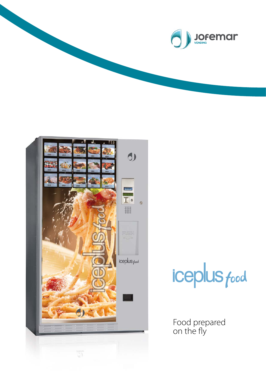



iceplus food

Food prepared on the fly